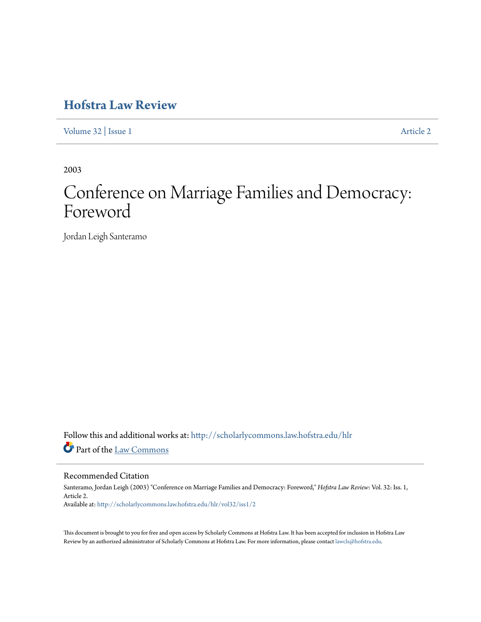## **[Hofstra Law Review](http://scholarlycommons.law.hofstra.edu/hlr?utm_source=scholarlycommons.law.hofstra.edu%2Fhlr%2Fvol32%2Fiss1%2F2&utm_medium=PDF&utm_campaign=PDFCoverPages)**

[Volume 32](http://scholarlycommons.law.hofstra.edu/hlr/vol32?utm_source=scholarlycommons.law.hofstra.edu%2Fhlr%2Fvol32%2Fiss1%2F2&utm_medium=PDF&utm_campaign=PDFCoverPages) | [Issue 1](http://scholarlycommons.law.hofstra.edu/hlr/vol32/iss1?utm_source=scholarlycommons.law.hofstra.edu%2Fhlr%2Fvol32%2Fiss1%2F2&utm_medium=PDF&utm_campaign=PDFCoverPages) [Article 2](http://scholarlycommons.law.hofstra.edu/hlr/vol32/iss1/2?utm_source=scholarlycommons.law.hofstra.edu%2Fhlr%2Fvol32%2Fiss1%2F2&utm_medium=PDF&utm_campaign=PDFCoverPages)

2003

# Conference on Marriage Families and Democracy: Foreword

Jordan Leigh Santeramo

Follow this and additional works at: [http://scholarlycommons.law.hofstra.edu/hlr](http://scholarlycommons.law.hofstra.edu/hlr?utm_source=scholarlycommons.law.hofstra.edu%2Fhlr%2Fvol32%2Fiss1%2F2&utm_medium=PDF&utm_campaign=PDFCoverPages) Part of the [Law Commons](http://network.bepress.com/hgg/discipline/578?utm_source=scholarlycommons.law.hofstra.edu%2Fhlr%2Fvol32%2Fiss1%2F2&utm_medium=PDF&utm_campaign=PDFCoverPages)

#### Recommended Citation

Santeramo, Jordan Leigh (2003) "Conference on Marriage Families and Democracy: Foreword," *Hofstra Law Review*: Vol. 32: Iss. 1, Article 2. Available at: [http://scholarlycommons.law.hofstra.edu/hlr/vol32/iss1/2](http://scholarlycommons.law.hofstra.edu/hlr/vol32/iss1/2?utm_source=scholarlycommons.law.hofstra.edu%2Fhlr%2Fvol32%2Fiss1%2F2&utm_medium=PDF&utm_campaign=PDFCoverPages)

This document is brought to you for free and open access by Scholarly Commons at Hofstra Law. It has been accepted for inclusion in Hofstra Law Review by an authorized administrator of Scholarly Commons at Hofstra Law. For more information, please contact [lawcls@hofstra.edu](mailto:lawcls@hofstra.edu).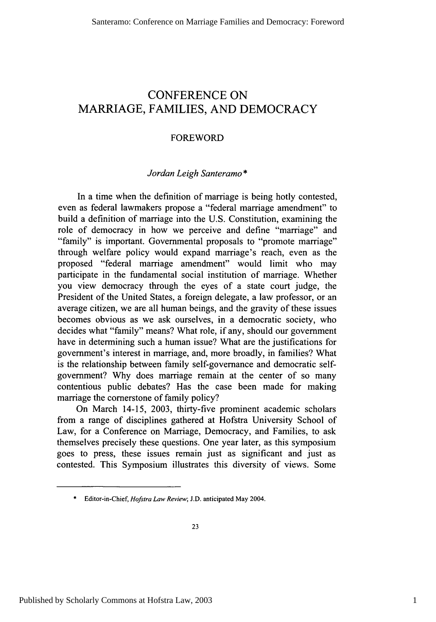### CONFERENCE **ON** MARRIAGE, FAMILIES, **AND** DEMOCRACY

#### FOREWORD

#### *Jordan Leigh Santeramo \**

In a time when the definition of marriage is being hotly contested, even as federal lawmakers propose a "federal marriage amendment" to build a definition of marriage into the U.S. Constitution, examining the role of democracy in how we perceive and define "marriage" and "family" is important. Governmental proposals to "promote marriage" through welfare policy would expand marriage's reach, even as the proposed "federal marriage amendment" would limit who may participate in the fundamental social institution of marriage. Whether you view democracy through the eyes of a state court judge, the President of the United States, a foreign delegate, a law professor, or an average citizen, we are all human beings, and the gravity of these issues becomes obvious as we ask ourselves, in a democratic society, who decides what "family" means? What role, if any, should our government have in determining such a human issue? What are the justifications for government's interest in marriage, and, more broadly, in families? What is the relationship between family self-governance and democratic selfgovernment? Why does marriage remain at the center of so many contentious public debates? Has the case been made for making marriage the cornerstone of family policy?

On March 14-15, 2003, thirty-five prominent academic scholars from a range of disciplines gathered at Hofstra University School of Law, for a Conference on Marriage, Democracy, and Families, to ask themselves precisely these questions. One year later, as this symposium goes to press, these issues remain just as significant and just as contested. This Symposium illustrates this diversity of views. Some

<sup>\*</sup> Editor-in-Chief, *Hofstra Law Review;* J.D. anticipated May 2004.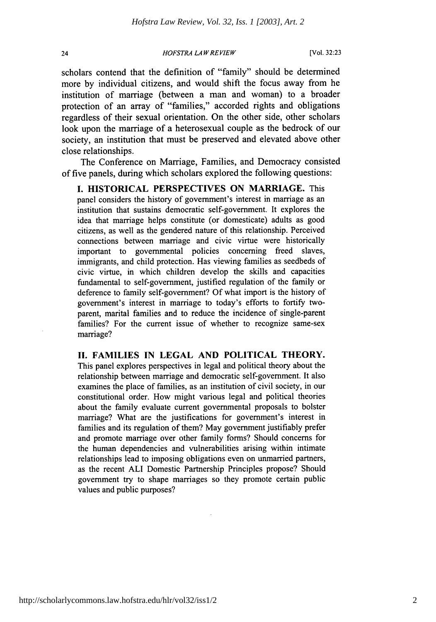#### *HOFSTRA LA W REVIEW*

scholars contend that the definition of "family" should be determined more by individual citizens, and would shift the focus away from he institution of marriage (between a man and woman) to a broader protection of an array of "families," accorded rights and obligations regardless of their sexual orientation. On the other side, other scholars look upon the marriage of a heterosexual couple as the bedrock of our society, an institution that must be preserved and elevated above other close relationships.

The Conference on Marriage, Families, and Democracy consisted of five panels, during which scholars explored the following questions:

**I. HISTORICAL PERSPECTIVES ON MARRIAGE.** This panel considers the history of government's interest in marriage as an institution that sustains democratic self-government. It explores the idea that marriage helps constitute (or domesticate) adults as good citizens, as well as the gendered nature of this relationship. Perceived connections between marriage and civic virtue were historically important to governmental policies concerning freed slaves, immigrants, and child protection. Has viewing families as seedbeds of civic virtue, in which children develop the skills and capacities fundamental to self-government, justified regulation of the family or deference to family self-government? **Of** what import is the history of government's interest in marriage to today's efforts to fortify twoparent, marital families and to reduce the incidence of single-parent families? For the current issue of whether to recognize same-sex marriage?

**If. FAMILIES IN LEGAL AND POLITICAL THEORY.** This panel explores perspectives in legal and political theory about the relationship between marriage and democratic self-government. It also examines the place of families, as an institution of civil society, in our constitutional order. How might various legal and political theories about the family evaluate current governmental proposals to bolster marriage? What are the justifications for government's interest in families and its regulation of them? May government justifiably prefer and promote marriage over other family forms? Should concerns for the human dependencies and vulnerabilities arising within intimate relationships lead to imposing obligations even on unmarried partners, as the recent **ALI** Domestic Partnership Principles propose? Should government try to shape marriages so they promote certain public values and public purposes?

24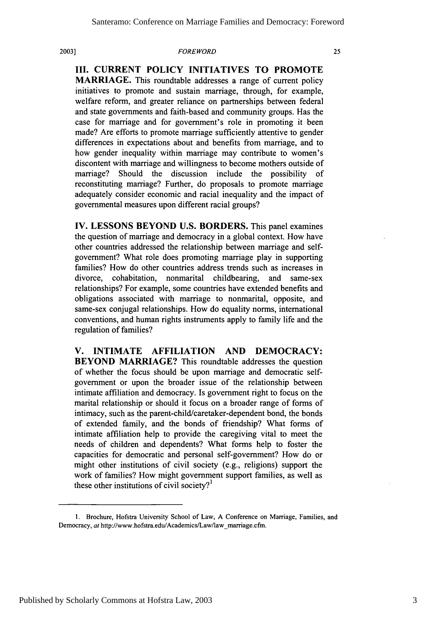#### *FOREWORD*

**III. CURRENT POLICY INITIATIVES TO PROMOTE MARRIAGE.** This roundtable addresses a range of current policy initiatives to promote and sustain marriage, through, for example, welfare reform, and greater reliance on partnerships between federal and state governments and faith-based and community groups. Has the case for marriage and for government's role in promoting it been made? Are efforts to promote marriage sufficiently attentive to gender differences in expectations about and benefits from marriage, and to how gender inequality within marriage may contribute to women's

discontent with marriage and willingness to become mothers outside of marriage? Should the discussion include the possibility of reconstituting marriage? Further, do proposals to promote marriage adequately consider economic and racial inequality and the impact of governmental measures upon different racial groups?

IV. LESSONS BEYOND U.S. BORDERS. This panel examines the question of marriage and democracy in a global context. How have other countries addressed the relationship between marriage and selfgovernment? What role does promoting marriage play in supporting families? How do other countries address trends such as increases in divorce, cohabitation, nonmarital childbearing, and same-sex relationships? For example, some countries have extended benefits and obligations associated with marriage to nonmarital, opposite, and same-sex conjugal relationships. How do equality norms, international conventions, and human rights instruments apply to family life and the regulation of families?

**V. INTIMATE AFFILIATION AND DEMOCRACY: BEYOND MARRIAGE?** This roundtable addresses the question of whether the focus should be upon marriage and democratic selfgovernment or upon the broader issue of the relationship between intimate affiliation and democracy. Is government right to focus on the marital relationship or should it focus on a broader range of forms of intimacy, such as the parent-child/caretaker-dependent bond, the bonds of extended family, and the bonds of friendship? What forms of intimate affiliation help to provide the caregiving vital to meet the needs of children and dependents? What forms help to foster the capacities for democratic and personal self-government? How do or might other institutions of civil society (e.g., religions) support the work of families? How might government support families, as well as these other institutions of civil society? $I^1$ 

<sup>1.</sup> Brochure, Hofstra University School of Law, A Conference on Marriage, Families, and Democracy, at http://www.hofstra.edu/Academics/Law/law marriage.cfm.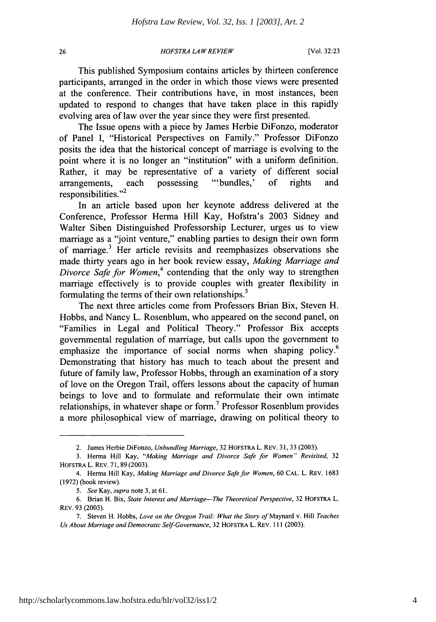*HOFSTRA LA WREVIEW*

This published Symposium contains articles by thirteen conference participants, arranged in the order in which those views were presented at the conference. Their contributions have, in most instances, been updated to respond to changes that have taken place in this rapidly evolving area of law over the year since they were first presented.

The Issue opens with a piece by James Herbie DiFonzo, moderator of Panel I, "Historical Perspectives on Family." Professor DiFonzo posits the idea that the historical concept of marriage is evolving to the point where it is no longer an "institution" with a uniform definition. Rather, it may be representative of a variety of different social arrangements, each possessing "'bundles,' of rights and responsibilities." $2$ 

In an article based upon her keynote address delivered at the Conference, Professor Herma Hill Kay, Hofstra's 2003 Sidney and Walter Siben Distinguished Professorship Lecturer, urges us to view marriage as a "joint venture," enabling parties to design their own form of marriage.3 Her article revisits and reemphasizes observations she made thirty years ago in her book review essay, *Making Marriage and Divorce Safe for Women*,<sup>4</sup> contending that the only way to strengthen marriage effectively is to provide couples with greater flexibility in formulating the terms of their own relationships.<sup>5</sup>

The next three articles come from Professors Brian Bix, Steven H. Hobbs, and Nancy L. Rosenblum, who appeared on the second panel, on "Families in Legal and Political Theory." Professor Bix accepts governmental regulation of marriage, but calls upon the government to emphasize the importance of social norms when shaping policy.<sup>6</sup> Demonstrating that history has much to teach about the present and future of family law, Professor Hobbs, through an examination of a story of love on the Oregon Trail, offers lessons about the capacity of human beings to love and to formulate and reformulate their own intimate relationships, in whatever shape or form.7 Professor Rosenblum provides a more philosophical view of marriage, drawing on political theory to

26

<sup>2.</sup> James Herbie DiFonzo, *Unbundling Marriage,* 32 HOFSTRA L. REV. 31, 33 (2003).

<sup>3.</sup> Herma Hill Kay, *"Making Marriage and Divorce Safe for Women" Revisited,* <sup>32</sup> HOFSTRA L. REv. 71, 89 (2003).

<sup>4.</sup> Henna Hill Kay, *Making Marriage and Divorce Safe for Women,* 60 CAL. L. REv. 1683 (1972) (book review).

<sup>5.</sup> *See* Kay, *supra* note 3, at 61.

<sup>6.</sup> Brian H. Bix, *State Interest and Marriage-The Theoretical Perspective,* 32 HOFSTRA L. REv. 93 (2003).

<sup>7.</sup> Steven H. Hobbs, *Love on the Oregon Trail: What the Story of* Maynard v. Hill *Teaches Us About Marriage andDemocratic Self-Governance,* 32 HOFsTRA L. REv. 111 (2003).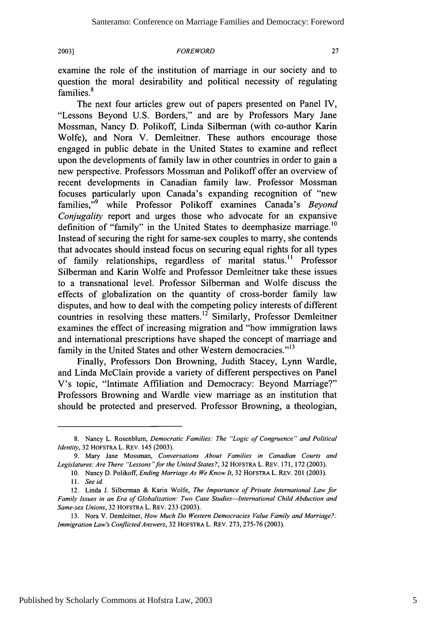**2003]**

#### **FOREWORD**

examine the role of the institution of marriage in our society and to question the moral desirability and political necessity of regulating families.<sup>8</sup>

The next four articles grew out of papers presented on Panel IV, "Lessons Beyond U.S. Borders," and are by Professors Mary Jane Mossman, Nancy D. Polikoff, Linda Silberman (with co-author Karin Wolfe), and Nora V. Demleitner. These authors encourage those engaged in public debate in the United States to examine and reflect upon the developments of family law in other countries in order to gain a new perspective. Professors Mossman and Polikoff offer an overview of recent developments in Canadian family law. Professor Mossman focuses particularly upon Canada's expanding recognition of "new families," 9 while Professor Polikoff examines Canada's *Beyond Conjugality* report and urges those who advocate for an expansive definition of "family" in the United States to deemphasize marriage.<sup>10</sup> Instead of securing the right for same-sex couples to marry, she contends that advocates should instead focus on securing equal rights for all types of family relationships, regardless of marital status." Professor Silberman and Karin Wolfe and Professor Demleitner take these issues to a transnational level. Professor Silberman and Wolfe discuss the effects of globalization on the quantity of cross-border family law disputes, and how to deal with the competing policy interests of different countries in resolving these matters.<sup>12</sup> Similarly, Professor Demleitner examines the effect of increasing migration and "how immigration laws and international prescriptions have shaped the concept of marriage and family in the United States and other Western democracies."<sup>13</sup>

Finally, Professors Don Browning, Judith Stacey, Lynn Wardle, and Linda McClain provide a variety of different perspectives on Panel V's topic, "Intimate Affiliation and Democracy: Beyond Marriage?" Professors Browning and Wardle view marriage as an institution that should be protected and preserved. Professor Browning, a theologian,

<sup>8.</sup> Nancy L. Rosenblum, *Democratic Families: The "Logic of Congruence" and Political Identity,* 32 HOFSTRA L. REV. 145 (2003).

<sup>9.</sup> Mary Jane Mossman, *Conversations About Families in Canadian Courts and Legislatures: Are There "Lessons "for the United States?,* 32 HOFSTRA L. REV. 171, 172 (2003).

<sup>10.</sup> Nancy D. Polikoff, *Ending Marriage As We Know It,* 32 HOFSTRA L. REV. 201 (2003).

*<sup>11.</sup>* Seeid.

<sup>12.</sup> Linda **J.** Silberman & Karin Wolfe, The Importance *of Private International Law for* Family Issues in an Era of Globalization: Two Case *Studies-International Child Abduction and Same-sex Unions,* 32 HOFSTRA L. REV. 233 (2003).

<sup>13.</sup> Nora V. Demleitner, *How Much Do Western Democracies Value Family and Marriage?:* Immigration Law's Conflicted Answers, 32 HOFSTRA L. REV. 273, 275-76 (2003).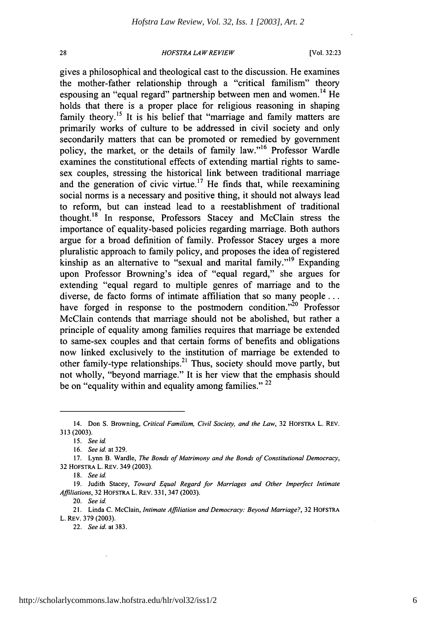$28$ 

#### *HOFSTRA LAW REVIEW*

[Vol. **32:23**

gives a philosophical and theological cast to the discussion. He examines the mother-father relationship through a "critical familism" theory espousing an "equal regard" partnership between men and women.<sup>14</sup> He holds that there is a proper place for religious reasoning in shaping family theory.<sup>15</sup> It is his belief that "marriage and family matters are primarily works of culture to be addressed in civil society and only secondarily matters that can be promoted or remedied by government policy, the market, or the details of family law."<sup>16</sup> Professor Wardle examines the constitutional effects of extending martial rights to samesex couples, stressing the historical link between traditional marriage and the generation of civic virtue.<sup>17</sup> He finds that, while reexamining social norms is a necessary and positive thing, it should not always lead to reform, but can instead lead to a reestablishment of traditional thought. 18 In response, Professors Stacey and McClain stress the importance of equality-based policies regarding marriage. Both authors argue for a broad definition of family. Professor Stacey urges a more pluralistic approach to family policy, and proposes the idea of registered kinship as an alternative to "sexual and marital family."<sup>19</sup> Expanding upon Professor Browning's idea of "equal regard," she argues for extending "equal regard to multiple genres of marriage and to the diverse, de facto forms of intimate affiliation that so many people ... have forged in response to the postmodern condition. $^{20}$  Professor McClain contends that marriage should not be abolished, but rather a principle of equality among families requires that marriage be extended to same-sex couples and that certain forms of benefits and obligations now linked exclusively to the institution of marriage be extended to other family-type relationships.<sup>21</sup> Thus, society should move partly, but not wholly, "beyond marriage." It is her view that the emphasis should be on "equality within and equality among families." *22*

20. *See id*

22. *See* id. at 383.

<sup>14.</sup> Don **S.** Browning, *Critical Familism, Civil Society, and the Law,* 32 HOFSTRA L. REV. 313 (2003).

*<sup>15.</sup> See id*

<sup>16.</sup> *See* id. at 329.

<sup>17.</sup> Lynn B. Wardle, *The Bonds of Matrimony and the Bonds of Constitutional Democracy,* 32 HOFSTRA L. REv. 349 (2003).

<sup>18.</sup> *See* id.

<sup>19.</sup> Judith Stacey, *Toward Equal Regard for Marriages and Other Imperfect Intimate Affiliations,* 32 HOFSTRA L. REV. 331, 347 (2003).

<sup>21.</sup> Linda C. McClain, *Intimate Affiliation and Democracy: Beyond Marriage?,* 32 HOFSTRA L. REv. 379 (2003).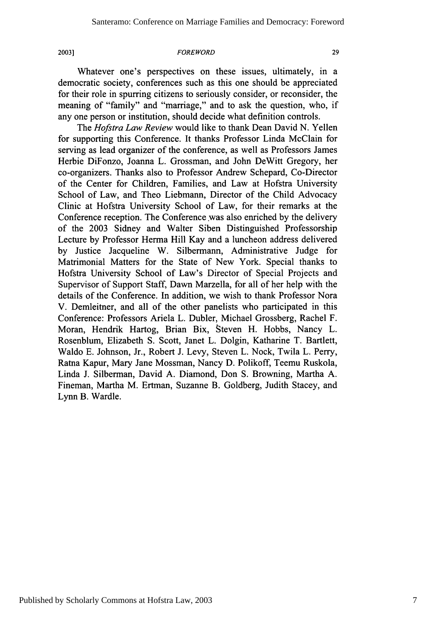**2003]**

#### *FOREWORD*

Whatever one's perspectives on these issues, ultimately, in a democratic society, conferences such as this one should be appreciated for their role in spurring citizens to seriously consider, or reconsider, the meaning of "family" and "marriage," and to ask the question, who, if any one person or institution, should decide what definition controls.

The *Hofstra Law Review* would like to thank Dean David N. Yellen for supporting this Conference. It thanks Professor Linda McClain for serving as lead organizer of the conference, as well as Professors James Herbie DiFonzo, Joanna L. Grossman, and John DeWitt Gregory, her co-organizers. Thanks also to Professor Andrew Schepard, Co-Director of the Center for Children, Families, and Law at Hofstra University School of Law, and Theo Liebmann, Director of the Child Advocacy Clinic at Hofstra University School of Law, for their remarks at the Conference reception. The Conference was also enriched by the delivery of the 2003 Sidney and Walter Siben Distinguished Professorship Lecture by Professor Herma Hill Kay and a luncheon address delivered by Justice Jacqueline W. Silbermann, Administrative Judge for Matrimonial Matters for the State of New York. Special thanks to Hofstra University School of Law's Director of Special Projects and Supervisor of Support Staff, Dawn Marzella, for all of her help with the details of the Conference. In addition, we wish to thank Professor Nora V. Demleitner, and all of the other panelists who participated in this Conference: Professors Ariela L. Dubler, Michael Grossberg, Rachel F. Moran, Hendrik Hartog, Brian Bix, Steven H. Hobbs, Nancy L. Rosenblum, Elizabeth S. Scott, Janet L. Dolgin, Katharine T. Bartlett, Waldo E. Johnson, Jr., Robert J. Levy, Steven L. Nock, Twila L. Perry, Ratna Kapur, Mary Jane Mossman, Nancy D. Polikoff, Teemu Ruskola, Linda J. Silberman, David A. Diamond, Don S. Browning, Martha A. Fineman, Martha M. Ertman, Suzanne B. Goldberg, Judith Stacey, and Lynn B. Wardle.